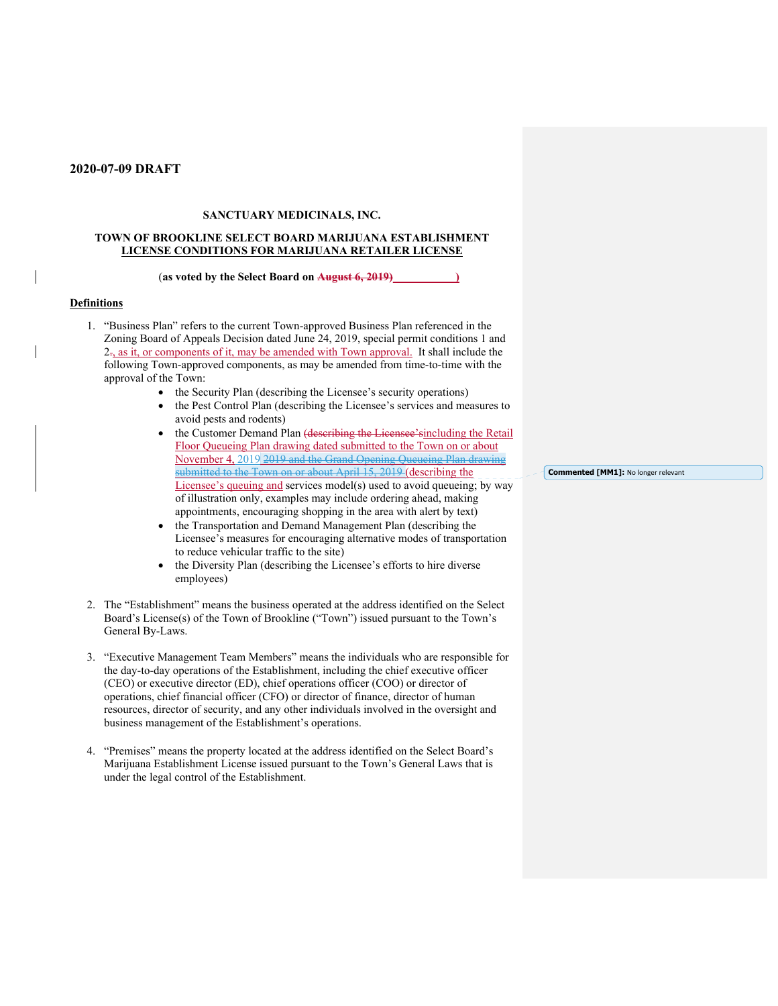#### **SANCTUARY MEDICINALS, INC.**

#### **TOWN OF BROOKLINE SELECT BOARD MARIJUANA ESTABLISHMENT LICENSE CONDITIONS FOR MARIJUANA RETAILER LICENSE**

### (as voted by the Select Board on August 6, 2019)

#### **Definitions**

- 1. "Business Plan" refers to the current Town-approved Business Plan referenced in the Zoning Board of Appeals Decision dated June 24, 2019, special permit conditions 1 and  $2\pi$ , as it, or components of it, may be amended with Town approval. It shall include the following Town-approved components, as may be amended from time-to-time with the approval of the Town:
	- the Security Plan (describing the Licensee's security operations)
	- the Pest Control Plan (describing the Licensee's services and measures to avoid pests and rodents)
	- the Customer Demand Plan (describing the Licensee'sincluding the Retail Floor Queueing Plan drawing dated submitted to the Town on or about November 4, 2019 2019 and the Grand Opening Queueing Plan drawing submitted to the Town on or about April 15, 2019 (describing the Licensee's queuing and services model(s) used to avoid queueing; by way of illustration only, examples may include ordering ahead, making appointments, encouraging shopping in the area with alert by text)
	- the Transportation and Demand Management Plan (describing the Licensee's measures for encouraging alternative modes of transportation to reduce vehicular traffic to the site)
	- the Diversity Plan (describing the Licensee's efforts to hire diverse employees)
- 2. The "Establishment" means the business operated at the address identified on the Select Board's License(s) of the Town of Brookline ("Town") issued pursuant to the Town's General By-Laws.
- 3. "Executive Management Team Members" means the individuals who are responsible for the day-to-day operations of the Establishment, including the chief executive officer (CEO) or executive director (ED), chief operations officer (COO) or director of operations, chief financial officer (CFO) or director of finance, director of human resources, director of security, and any other individuals involved in the oversight and business management of the Establishment's operations.
- 4. "Premises" means the property located at the address identified on the Select Board's Marijuana Establishment License issued pursuant to the Town's General Laws that is under the legal control of the Establishment.

**Commented [MM1]:** No longer relevant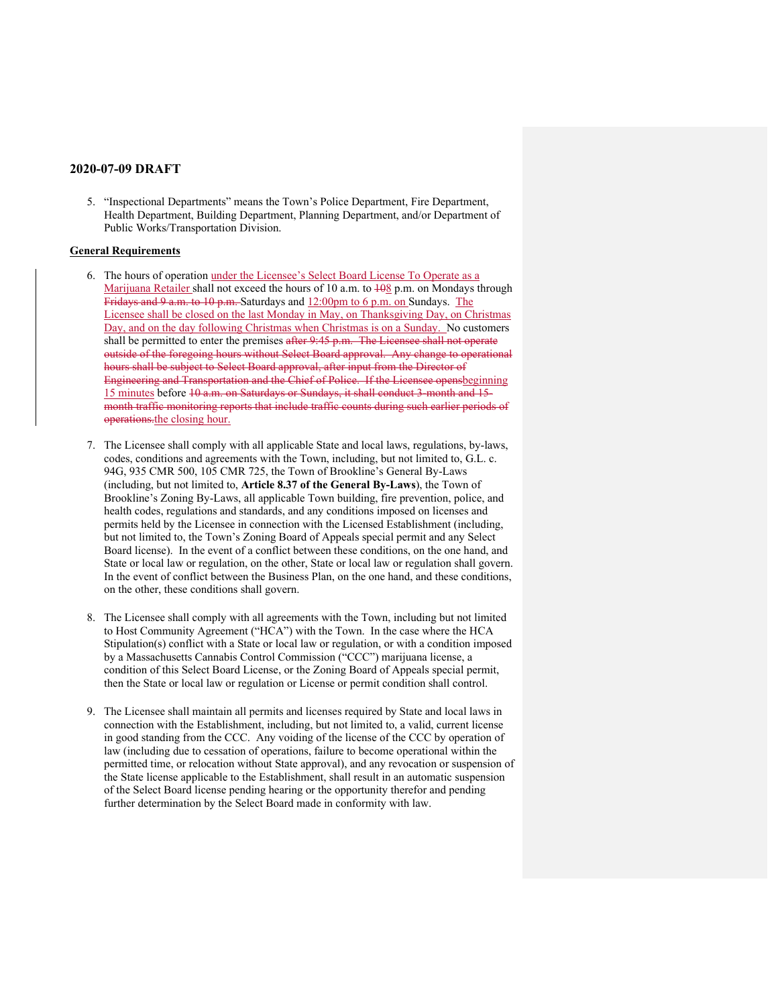5. "Inspectional Departments" means the Town's Police Department, Fire Department, Health Department, Building Department, Planning Department, and/or Department of Public Works/Transportation Division.

### **General Requirements**

- 6. The hours of operation under the Licensee's Select Board License To Operate as a Marijuana Retailer shall not exceed the hours of 10 a.m. to  $\frac{108}{2}$  p.m. on Mondays through Fridays and 9 a.m. to 10 p.m. Saturdays and 12:00pm to 6 p.m. on Sundays. The Licensee shall be closed on the last Monday in May, on Thanksgiving Day, on Christmas Day, and on the day following Christmas when Christmas is on a Sunday. No customers shall be permitted to enter the premises after 9:45 p.m. The Licensee shall not operate outside of the foregoing hours without Select Board approval. Any change to operational hours shall be subject to Select Board approval, after input from the Director of Engineering and Transportation and the Chief of Police. If the Licensee opensbeginning 15 minutes before 10 a.m. on Saturdays or Sundays, it shall conduct 3-month and 15 month traffic monitoring reports that include traffic counts during such earlier periods of operations.the closing hour.
- 7. The Licensee shall comply with all applicable State and local laws, regulations, by-laws, codes, conditions and agreements with the Town, including, but not limited to, G.L. c. 94G, 935 CMR 500, 105 CMR 725, the Town of Brookline's General By-Laws (including, but not limited to, **Article 8.37 of the General By-Laws**), the Town of Brookline's Zoning By-Laws, all applicable Town building, fire prevention, police, and health codes, regulations and standards, and any conditions imposed on licenses and permits held by the Licensee in connection with the Licensed Establishment (including, but not limited to, the Town's Zoning Board of Appeals special permit and any Select Board license). In the event of a conflict between these conditions, on the one hand, and State or local law or regulation, on the other, State or local law or regulation shall govern. In the event of conflict between the Business Plan, on the one hand, and these conditions, on the other, these conditions shall govern.
- 8. The Licensee shall comply with all agreements with the Town, including but not limited to Host Community Agreement ("HCA") with the Town. In the case where the HCA Stipulation(s) conflict with a State or local law or regulation, or with a condition imposed by a Massachusetts Cannabis Control Commission ("CCC") marijuana license, a condition of this Select Board License, or the Zoning Board of Appeals special permit, then the State or local law or regulation or License or permit condition shall control.
- 9. The Licensee shall maintain all permits and licenses required by State and local laws in connection with the Establishment, including, but not limited to, a valid, current license in good standing from the CCC. Any voiding of the license of the CCC by operation of law (including due to cessation of operations, failure to become operational within the permitted time, or relocation without State approval), and any revocation or suspension of the State license applicable to the Establishment, shall result in an automatic suspension of the Select Board license pending hearing or the opportunity therefor and pending further determination by the Select Board made in conformity with law.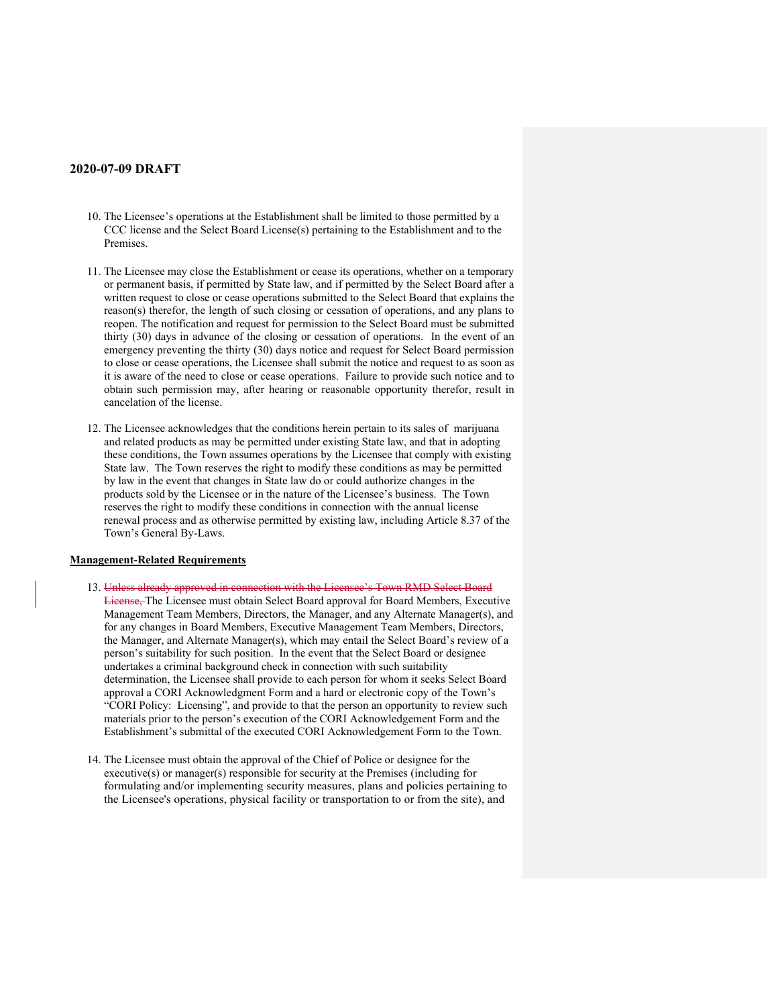- 10. The Licensee's operations at the Establishment shall be limited to those permitted by a CCC license and the Select Board License(s) pertaining to the Establishment and to the Premises.
- 11. The Licensee may close the Establishment or cease its operations, whether on a temporary or permanent basis, if permitted by State law, and if permitted by the Select Board after a written request to close or cease operations submitted to the Select Board that explains the reason(s) therefor, the length of such closing or cessation of operations, and any plans to reopen. The notification and request for permission to the Select Board must be submitted thirty (30) days in advance of the closing or cessation of operations. In the event of an emergency preventing the thirty (30) days notice and request for Select Board permission to close or cease operations, the Licensee shall submit the notice and request to as soon as it is aware of the need to close or cease operations. Failure to provide such notice and to obtain such permission may, after hearing or reasonable opportunity therefor, result in cancelation of the license.
- 12. The Licensee acknowledges that the conditions herein pertain to its sales of marijuana and related products as may be permitted under existing State law, and that in adopting these conditions, the Town assumes operations by the Licensee that comply with existing State law. The Town reserves the right to modify these conditions as may be permitted by law in the event that changes in State law do or could authorize changes in the products sold by the Licensee or in the nature of the Licensee's business. The Town reserves the right to modify these conditions in connection with the annual license renewal process and as otherwise permitted by existing law, including Article 8.37 of the Town's General By-Laws.

#### **Management-Related Requirements**

- 13. Unless already approved in connection with the Licensee's Town RMD Select Board License, The Licensee must obtain Select Board approval for Board Members, Executive Management Team Members, Directors, the Manager, and any Alternate Manager(s), and for any changes in Board Members, Executive Management Team Members, Directors, the Manager, and Alternate Manager(s), which may entail the Select Board's review of a person's suitability for such position. In the event that the Select Board or designee undertakes a criminal background check in connection with such suitability determination, the Licensee shall provide to each person for whom it seeks Select Board approval a CORI Acknowledgment Form and a hard or electronic copy of the Town's "CORI Policy: Licensing", and provide to that the person an opportunity to review such materials prior to the person's execution of the CORI Acknowledgement Form and the Establishment's submittal of the executed CORI Acknowledgement Form to the Town.
- 14. The Licensee must obtain the approval of the Chief of Police or designee for the executive(s) or manager(s) responsible for security at the Premises (including for formulating and/or implementing security measures, plans and policies pertaining to the Licensee's operations, physical facility or transportation to or from the site), and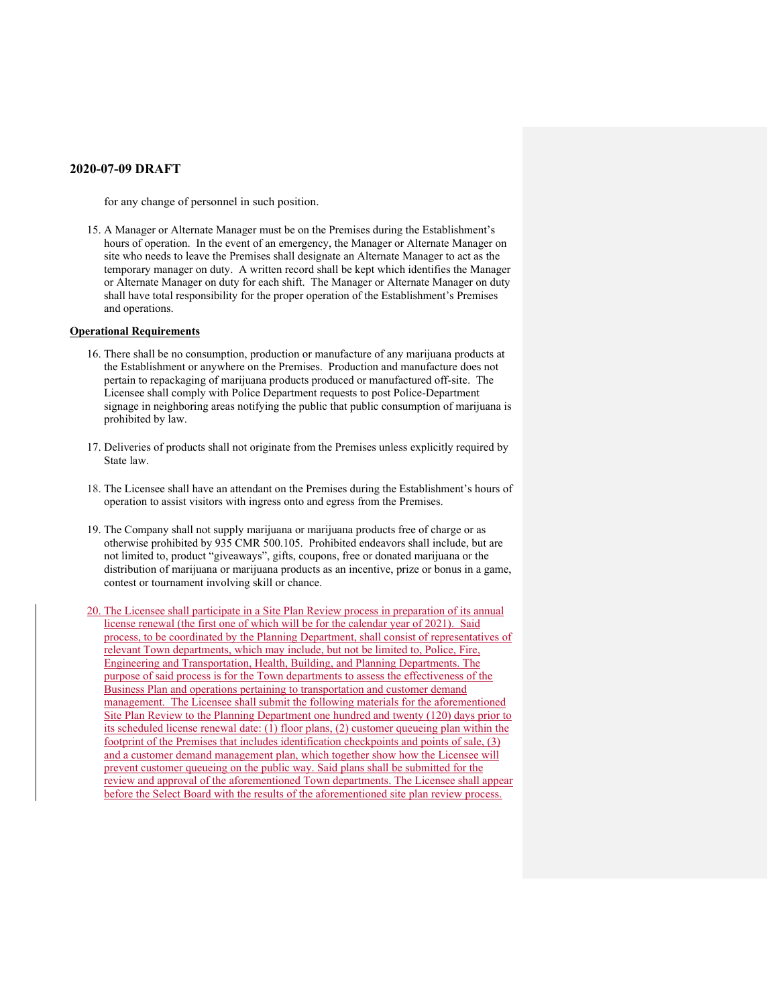for any change of personnel in such position.

15. A Manager or Alternate Manager must be on the Premises during the Establishment's hours of operation. In the event of an emergency, the Manager or Alternate Manager on site who needs to leave the Premises shall designate an Alternate Manager to act as the temporary manager on duty. A written record shall be kept which identifies the Manager or Alternate Manager on duty for each shift. The Manager or Alternate Manager on duty shall have total responsibility for the proper operation of the Establishment's Premises and operations.

#### **Operational Requirements**

- 16. There shall be no consumption, production or manufacture of any marijuana products at the Establishment or anywhere on the Premises. Production and manufacture does not pertain to repackaging of marijuana products produced or manufactured off-site. The Licensee shall comply with Police Department requests to post Police-Department signage in neighboring areas notifying the public that public consumption of marijuana is prohibited by law.
- 17. Deliveries of products shall not originate from the Premises unless explicitly required by State law.
- 18. The Licensee shall have an attendant on the Premises during the Establishment's hours of operation to assist visitors with ingress onto and egress from the Premises.
- 19. The Company shall not supply marijuana or marijuana products free of charge or as otherwise prohibited by 935 CMR 500.105. Prohibited endeavors shall include, but are not limited to, product "giveaways", gifts, coupons, free or donated marijuana or the distribution of marijuana or marijuana products as an incentive, prize or bonus in a game, contest or tournament involving skill or chance.
- 20. The Licensee shall participate in a Site Plan Review process in preparation of its annual license renewal (the first one of which will be for the calendar year of 2021). Said process, to be coordinated by the Planning Department, shall consist of representatives of relevant Town departments, which may include, but not be limited to, Police, Fire, Engineering and Transportation, Health, Building, and Planning Departments. The purpose of said process is for the Town departments to assess the effectiveness of the Business Plan and operations pertaining to transportation and customer demand management. The Licensee shall submit the following materials for the aforementioned Site Plan Review to the Planning Department one hundred and twenty (120) days prior to its scheduled license renewal date: (1) floor plans, (2) customer queueing plan within the footprint of the Premises that includes identification checkpoints and points of sale, (3) and a customer demand management plan, which together show how the Licensee will prevent customer queueing on the public way. Said plans shall be submitted for the review and approval of the aforementioned Town departments. The Licensee shall appear before the Select Board with the results of the aforementioned site plan review process.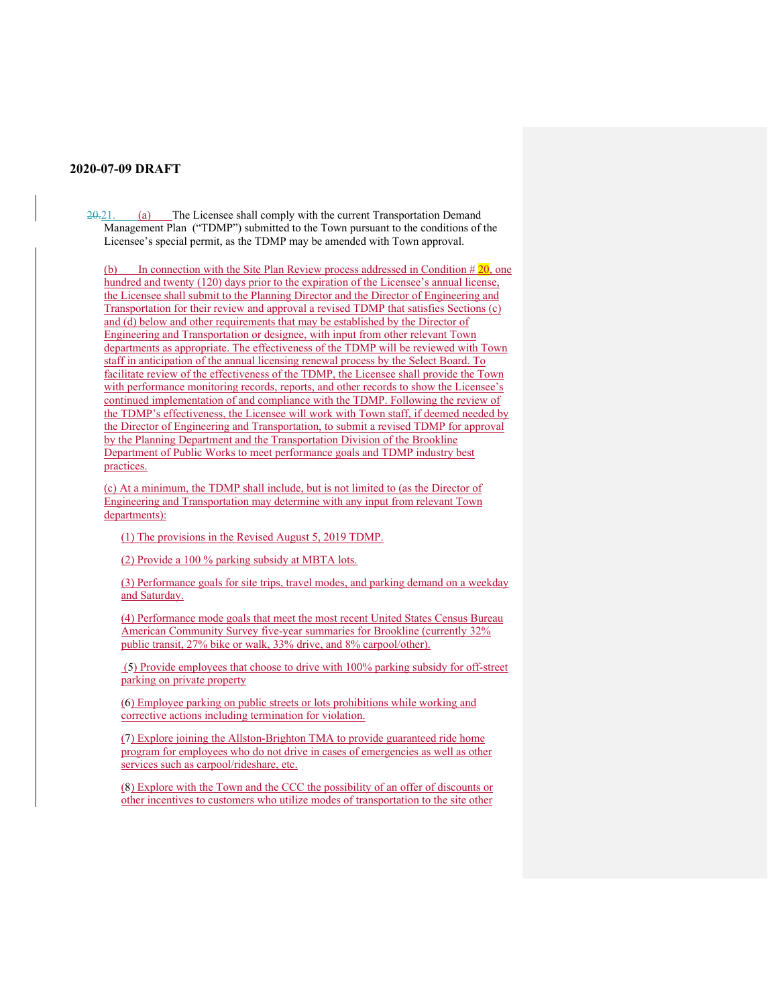20.21. (a) The Licensee shall comply with the current Transportation Demand Management Plan ("TDMP") submitted to the Town pursuant to the conditions of the Licensee's special permit, as the TDMP may be amended with Town approval.

(b) In connection with the Site Plan Review process addressed in Condition  $\#20$ , one hundred and twenty (120) days prior to the expiration of the Licensee's annual license, the Licensee shall submit to the Planning Director and the Director of Engineering and Transportation for their review and approval a revised TDMP that satisfies Sections (c) and (d) below and other requirements that may be established by the Director of Engineering and Transportation or designee, with input from other relevant Town departments as appropriate. The effectiveness of the TDMP will be reviewed with Town staff in anticipation of the annual licensing renewal process by the Select Board. To facilitate review of the effectiveness of the TDMP, the Licensee shall provide the Town with performance monitoring records, reports, and other records to show the Licensee's continued implementation of and compliance with the TDMP. Following the review of the TDMP's effectiveness, the Licensee will work with Town staff, if deemed needed by the Director of Engineering and Transportation, to submit a revised TDMP for approval by the Planning Department and the Transportation Division of the Brookline Department of Public Works to meet performance goals and TDMP industry best practices.

(c) At a minimum, the TDMP shall include, but is not limited to (as the Director of Engineering and Transportation may determine with any input from relevant Town departments):

(1) The provisions in the Revised August 5, 2019 TDMP.

(2) Provide a 100 % parking subsidy at MBTA lots.

(3) Performance goals for site trips, travel modes, and parking demand on a weekday and Saturday.

(4) Performance mode goals that meet the most recent United States Census Bureau American Community Survey five-year summaries for Brookline (currently 32% public transit, 27% bike or walk, 33% drive, and 8% carpool/other).

 (5) Provide employees that choose to drive with 100% parking subsidy for off-street parking on private property

(6) Employee parking on public streets or lots prohibitions while working and corrective actions including termination for violation.

(7) Explore joining the Allston-Brighton TMA to provide guaranteed ride home program for employees who do not drive in cases of emergencies as well as other services such as carpool/rideshare, etc.

(8) Explore with the Town and the CCC the possibility of an offer of discounts or other incentives to customers who utilize modes of transportation to the site other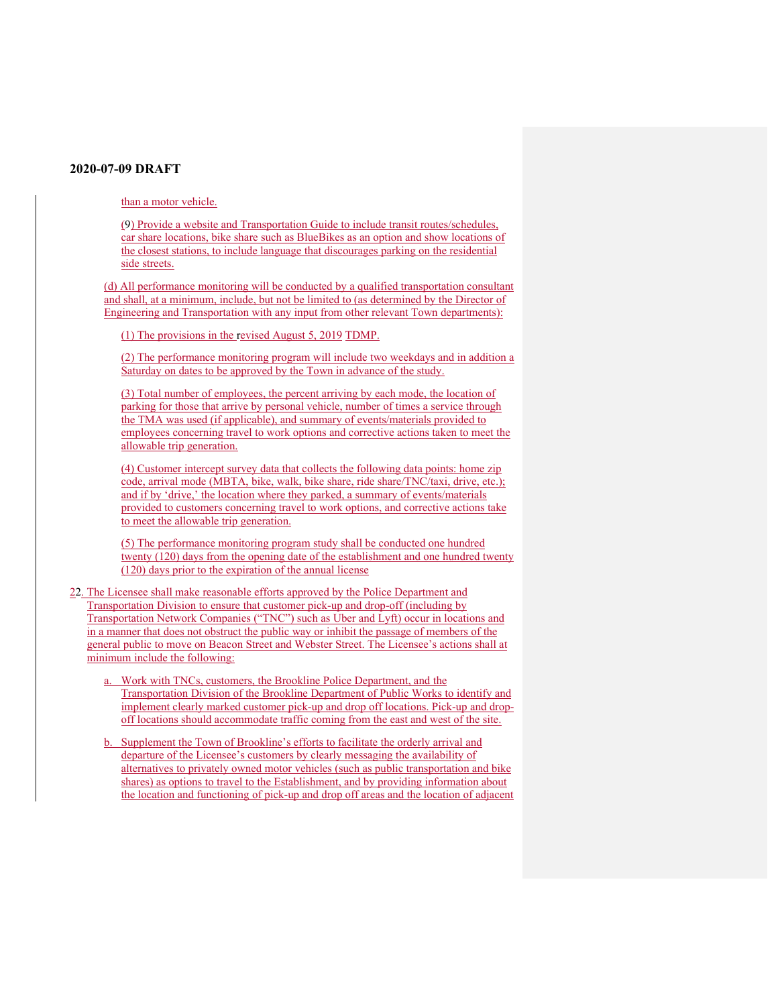than a motor vehicle.

(9) Provide a website and Transportation Guide to include transit routes/schedules, car share locations, bike share such as BlueBikes as an option and show locations of the closest stations, to include language that discourages parking on the residential side streets.

(d) All performance monitoring will be conducted by a qualified transportation consultant and shall, at a minimum, include, but not be limited to (as determined by the Director of Engineering and Transportation with any input from other relevant Town departments):

(1) The provisions in the revised August 5, 2019 TDMP.

(2) The performance monitoring program will include two weekdays and in addition a Saturday on dates to be approved by the Town in advance of the study.

(3) Total number of employees, the percent arriving by each mode, the location of parking for those that arrive by personal vehicle, number of times a service through the TMA was used (if applicable), and summary of events/materials provided to employees concerning travel to work options and corrective actions taken to meet the allowable trip generation.

(4) Customer intercept survey data that collects the following data points: home zip code, arrival mode (MBTA, bike, walk, bike share, ride share/TNC/taxi, drive, etc.); and if by 'drive,' the location where they parked, a summary of events/materials provided to customers concerning travel to work options, and corrective actions take to meet the allowable trip generation.

(5) The performance monitoring program study shall be conducted one hundred twenty (120) days from the opening date of the establishment and one hundred twenty (120) days prior to the expiration of the annual license

22. The Licensee shall make reasonable efforts approved by the Police Department and Transportation Division to ensure that customer pick-up and drop-off (including by Transportation Network Companies ("TNC") such as Uber and Lyft) occur in locations and in a manner that does not obstruct the public way or inhibit the passage of members of the general public to move on Beacon Street and Webster Street. The Licensee's actions shall at minimum include the following:

- Work with TNCs, customers, the Brookline Police Department, and the Transportation Division of the Brookline Department of Public Works to identify and implement clearly marked customer pick-up and drop off locations. Pick-up and dropoff locations should accommodate traffic coming from the east and west of the site.
- b. Supplement the Town of Brookline's efforts to facilitate the orderly arrival and departure of the Licensee's customers by clearly messaging the availability of alternatives to privately owned motor vehicles (such as public transportation and bike shares) as options to travel to the Establishment, and by providing information about the location and functioning of pick-up and drop off areas and the location of adjacent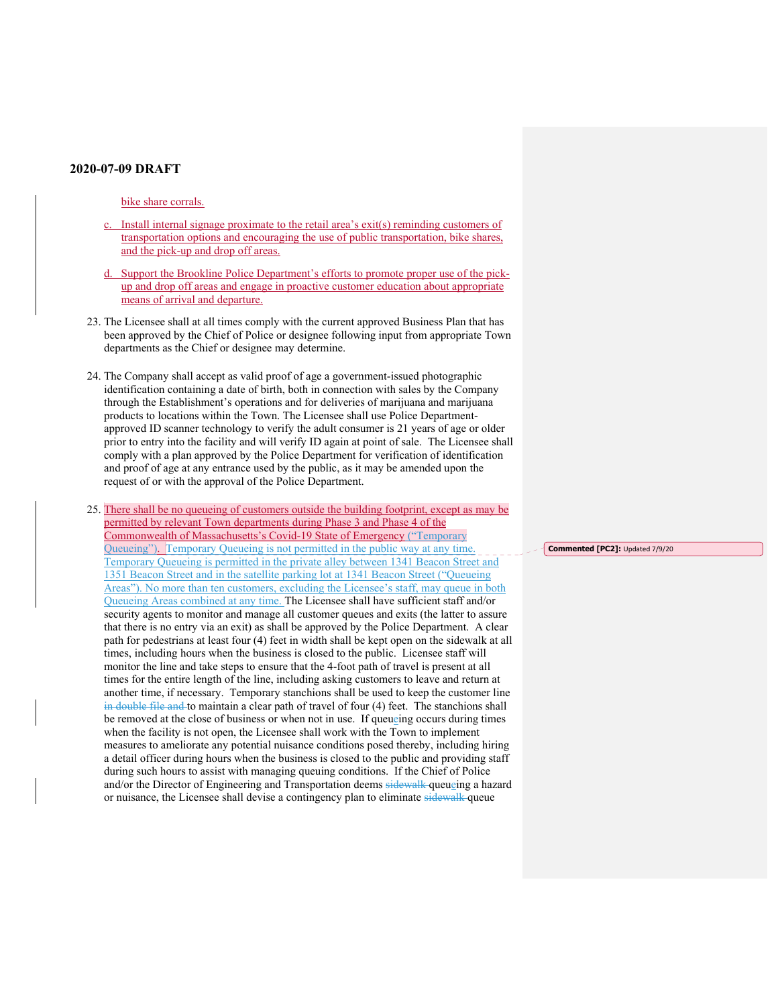## bike share corrals.

- Install internal signage proximate to the retail area's  $exit(s)$  reminding customers of transportation options and encouraging the use of public transportation, bike shares, and the pick-up and drop off areas.
- d. Support the Brookline Police Department's efforts to promote proper use of the pickup and drop off areas and engage in proactive customer education about appropriate means of arrival and departure.
- 23. The Licensee shall at all times comply with the current approved Business Plan that has been approved by the Chief of Police or designee following input from appropriate Town departments as the Chief or designee may determine.
- 24. The Company shall accept as valid proof of age a government-issued photographic identification containing a date of birth, both in connection with sales by the Company through the Establishment's operations and for deliveries of marijuana and marijuana products to locations within the Town. The Licensee shall use Police Departmentapproved ID scanner technology to verify the adult consumer is 21 years of age or older prior to entry into the facility and will verify ID again at point of sale. The Licensee shall comply with a plan approved by the Police Department for verification of identification and proof of age at any entrance used by the public, as it may be amended upon the request of or with the approval of the Police Department.
- 25. There shall be no queueing of customers outside the building footprint, except as may be permitted by relevant Town departments during Phase 3 and Phase 4 of the Commonwealth of Massachusetts's Covid-19 State of Emergency ("Temporary Queueing"). Temporary Queueing is not permitted in the public way at any time. Temporary Queueing is permitted in the private alley between 1341 Beacon Street and 1351 Beacon Street and in the satellite parking lot at 1341 Beacon Street ("Queueing Areas"). No more than ten customers, excluding the Licensee's staff, may queue in both Queueing Areas combined at any time. The Licensee shall have sufficient staff and/or security agents to monitor and manage all customer queues and exits (the latter to assure that there is no entry via an exit) as shall be approved by the Police Department. A clear path for pedestrians at least four (4) feet in width shall be kept open on the sidewalk at all times, including hours when the business is closed to the public. Licensee staff will monitor the line and take steps to ensure that the 4-foot path of travel is present at all times for the entire length of the line, including asking customers to leave and return at another time, if necessary. Temporary stanchions shall be used to keep the customer line in double file and to maintain a clear path of travel of four (4) feet. The stanchions shall be removed at the close of business or when not in use. If queueing occurs during times when the facility is not open, the Licensee shall work with the Town to implement measures to ameliorate any potential nuisance conditions posed thereby, including hiring a detail officer during hours when the business is closed to the public and providing staff during such hours to assist with managing queuing conditions. If the Chief of Police and/or the Director of Engineering and Transportation deems sidewalk queueing a hazard or nuisance, the Licensee shall devise a contingency plan to eliminate sidewalk queue

**Commented [PC2]:** Updated 7/9/20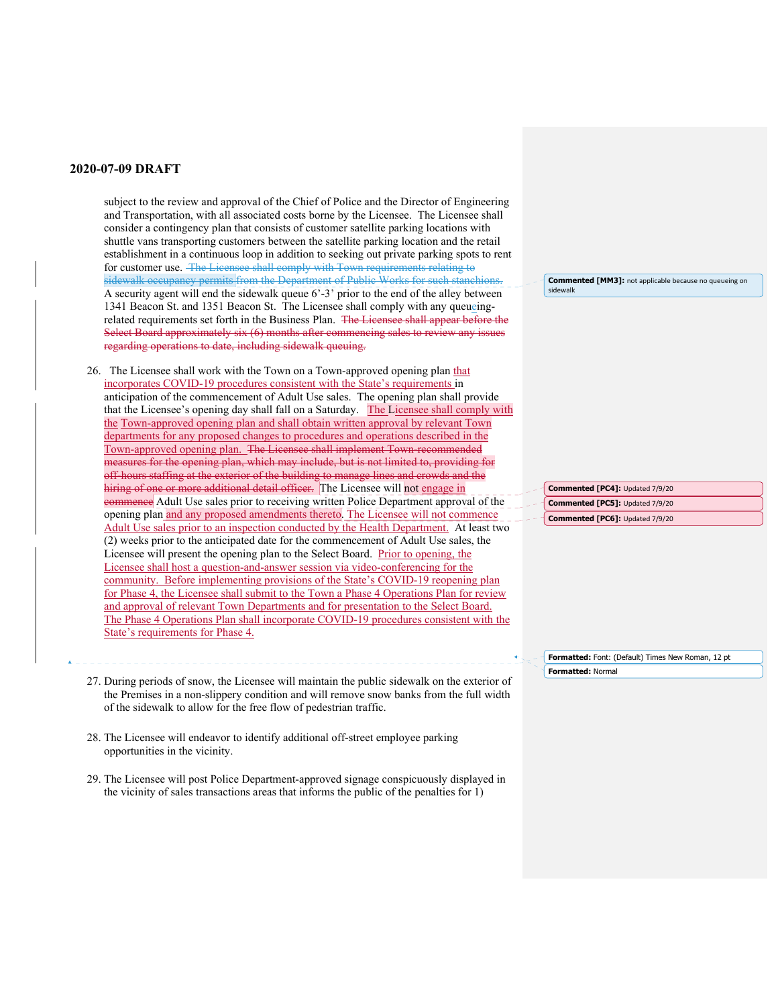subject to the review and approval of the Chief of Police and the Director of Engineering and Transportation, with all associated costs borne by the Licensee. The Licensee shall consider a contingency plan that consists of customer satellite parking locations with shuttle vans transporting customers between the satellite parking location and the retail establishment in a continuous loop in addition to seeking out private parking spots to rent for customer use. The Licensee shall comply with Town requirements relating to sidewalk occupancy permits from the Department of Public Works for such stanchior A security agent will end the sidewalk queue 6'-3' prior to the end of the alley between 1341 Beacon St. and 1351 Beacon St. The Licensee shall comply with any queueingrelated requirements set forth in the Business Plan. The Licensee shall appear before the Select Board approximately six (6) months after commencing sales to review any issues regarding operations to date, including sidewalk queuing.

26. The Licensee shall work with the Town on a Town-approved opening plan that incorporates COVID-19 procedures consistent with the State's requirements in anticipation of the commencement of Adult Use sales. The opening plan shall provide that the Licensee's opening day shall fall on a Saturday. The Licensee shall comply with the Town-approved opening plan and shall obtain written approval by relevant Town departments for any proposed changes to procedures and operations described in the Town-approved opening plan. The Licensee shall implement Town-recommended measures for the opening plan, which may include, but is not limited to, providing for off-hours staffing at the exterior of the building to manage lines and crowds and the hiring of one or more additional detail officer. The Licensee will not engage in commence Adult Use sales prior to receiving written Police Department approval of the opening plan and any proposed amendments thereto. The Licensee will not commence Adult Use sales prior to an inspection conducted by the Health Department. At least two (2) weeks prior to the anticipated date for the commencement of Adult Use sales, the Licensee will present the opening plan to the Select Board. Prior to opening, the Licensee shall host a question-and-answer session via video-conferencing for the community. Before implementing provisions of the State's COVID-19 reopening plan for Phase 4, the Licensee shall submit to the Town a Phase 4 Operations Plan for review and approval of relevant Town Departments and for presentation to the Select Board. The Phase 4 Operations Plan shall incorporate COVID-19 procedures consistent with the State's requirements for Phase 4.

- 27. During periods of snow, the Licensee will maintain the public sidewalk on the exterior of the Premises in a non-slippery condition and will remove snow banks from the full width of the sidewalk to allow for the free flow of pedestrian traffic.
- 28. The Licensee will endeavor to identify additional off-street employee parking opportunities in the vicinity.
- 29. The Licensee will post Police Department-approved signage conspicuously displayed in the vicinity of sales transactions areas that informs the public of the penalties for 1)

**Commented [MM3]:** not applicable because no queueing on sidewalk

**Commented [PC4]:** Updated 7/9/20 **Commented [PC5]:** Updated 7/9/20 **Commented [PC6]:** Updated 7/9/20

**Formatted:** Font: (Default) Times New Roman, 12 pt **Formatted:** Normal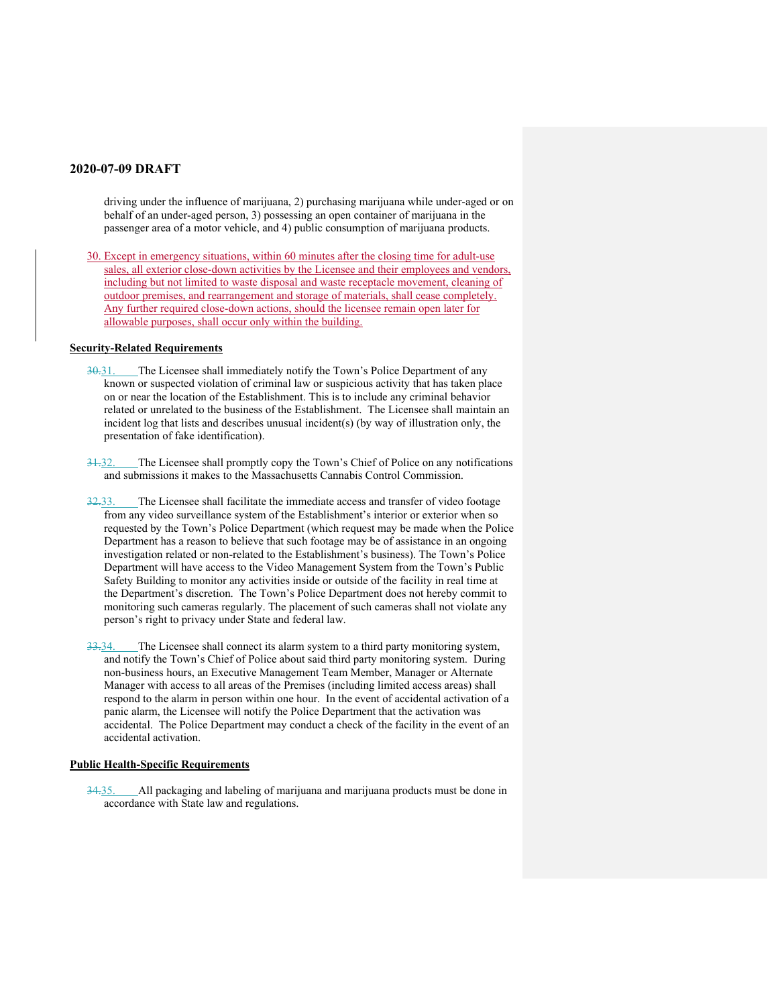driving under the influence of marijuana, 2) purchasing marijuana while under-aged or on behalf of an under-aged person, 3) possessing an open container of marijuana in the passenger area of a motor vehicle, and 4) public consumption of marijuana products.

30. Except in emergency situations, within 60 minutes after the closing time for adult-use sales, all exterior close-down activities by the Licensee and their employees and vendors, including but not limited to waste disposal and waste receptacle movement, cleaning of outdoor premises, and rearrangement and storage of materials, shall cease completely. Any further required close-down actions, should the licensee remain open later for allowable purposes, shall occur only within the building.

#### **Security-Related Requirements**

- 30.31. The Licensee shall immediately notify the Town's Police Department of any known or suspected violation of criminal law or suspicious activity that has taken place on or near the location of the Establishment. This is to include any criminal behavior related or unrelated to the business of the Establishment. The Licensee shall maintain an incident log that lists and describes unusual incident(s) (by way of illustration only, the presentation of fake identification).
- 31.32. The Licensee shall promptly copy the Town's Chief of Police on any notifications and submissions it makes to the Massachusetts Cannabis Control Commission.
- 32.33. The Licensee shall facilitate the immediate access and transfer of video footage from any video surveillance system of the Establishment's interior or exterior when so requested by the Town's Police Department (which request may be made when the Police Department has a reason to believe that such footage may be of assistance in an ongoing investigation related or non-related to the Establishment's business). The Town's Police Department will have access to the Video Management System from the Town's Public Safety Building to monitor any activities inside or outside of the facility in real time at the Department's discretion. The Town's Police Department does not hereby commit to monitoring such cameras regularly. The placement of such cameras shall not violate any person's right to privacy under State and federal law.
- 33.34. The Licensee shall connect its alarm system to a third party monitoring system, and notify the Town's Chief of Police about said third party monitoring system. During non-business hours, an Executive Management Team Member, Manager or Alternate Manager with access to all areas of the Premises (including limited access areas) shall respond to the alarm in person within one hour. In the event of accidental activation of a panic alarm, the Licensee will notify the Police Department that the activation was accidental. The Police Department may conduct a check of the facility in the event of an accidental activation.

#### **Public Health-Specific Requirements**

34.35. All packaging and labeling of marijuana and marijuana products must be done in accordance with State law and regulations.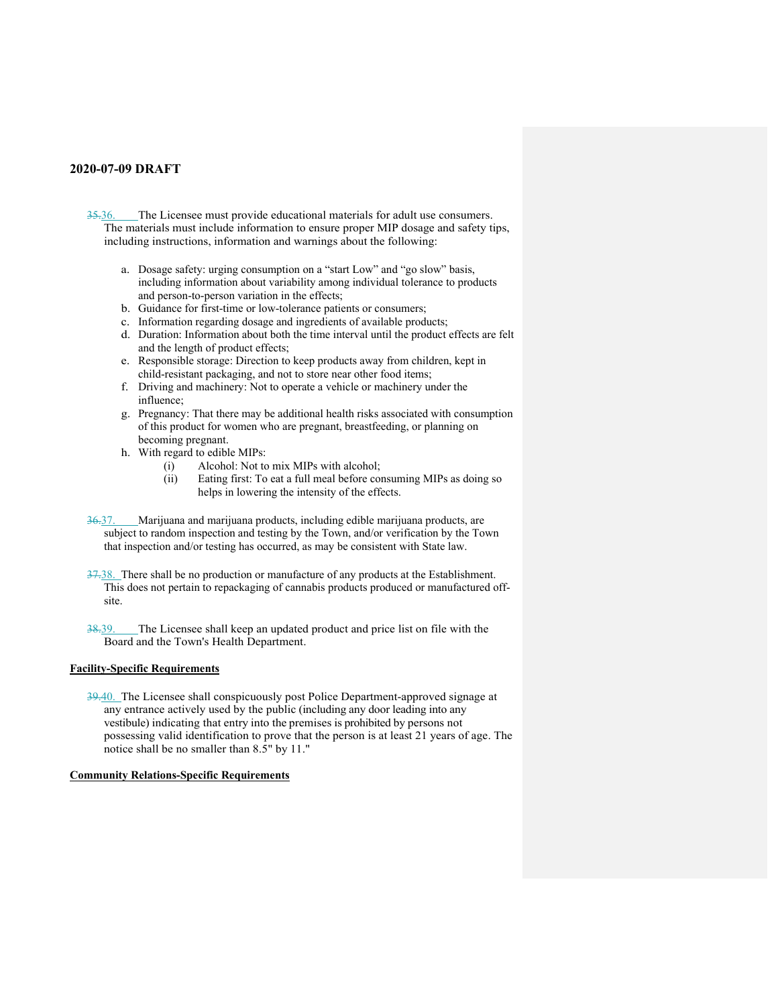- 35.36. The Licensee must provide educational materials for adult use consumers. The materials must include information to ensure proper MIP dosage and safety tips, including instructions, information and warnings about the following:
	- a. Dosage safety: urging consumption on a "start Low" and "go slow" basis, including information about variability among individual tolerance to products and person-to-person variation in the effects;
	- b. Guidance for first-time or low-tolerance patients or consumers;
	- c. Information regarding dosage and ingredients of available products;
	- d. Duration: Information about both the time interval until the product effects are felt and the length of product effects;
	- e. Responsible storage: Direction to keep products away from children, kept in child-resistant packaging, and not to store near other food items;
	- f. Driving and machinery: Not to operate a vehicle or machinery under the influence;
	- g. Pregnancy: That there may be additional health risks associated with consumption of this product for women who are pregnant, breastfeeding, or planning on becoming pregnant.
	- h. With regard to edible MIPs:
		- (i) Alcohol: Not to mix MIPs with alcohol;
		- (ii) Eating first: To eat a full meal before consuming MIPs as doing so helps in lowering the intensity of the effects.
- 36.37. Marijuana and marijuana products, including edible marijuana products, are subject to random inspection and testing by the Town, and/or verification by the Town that inspection and/or testing has occurred, as may be consistent with State law.
- 37.38. There shall be no production or manufacture of any products at the Establishment. This does not pertain to repackaging of cannabis products produced or manufactured offsite.
- 38.39. The Licensee shall keep an updated product and price list on file with the Board and the Town's Health Department.

## **Facility-Specific Requirements**

39.40. The Licensee shall conspicuously post Police Department-approved signage at any entrance actively used by the public (including any door leading into any vestibule) indicating that entry into the premises is prohibited by persons not possessing valid identification to prove that the person is at least 21 years of age. The notice shall be no smaller than 8.5" by 11."

#### **Community Relations-Specific Requirements**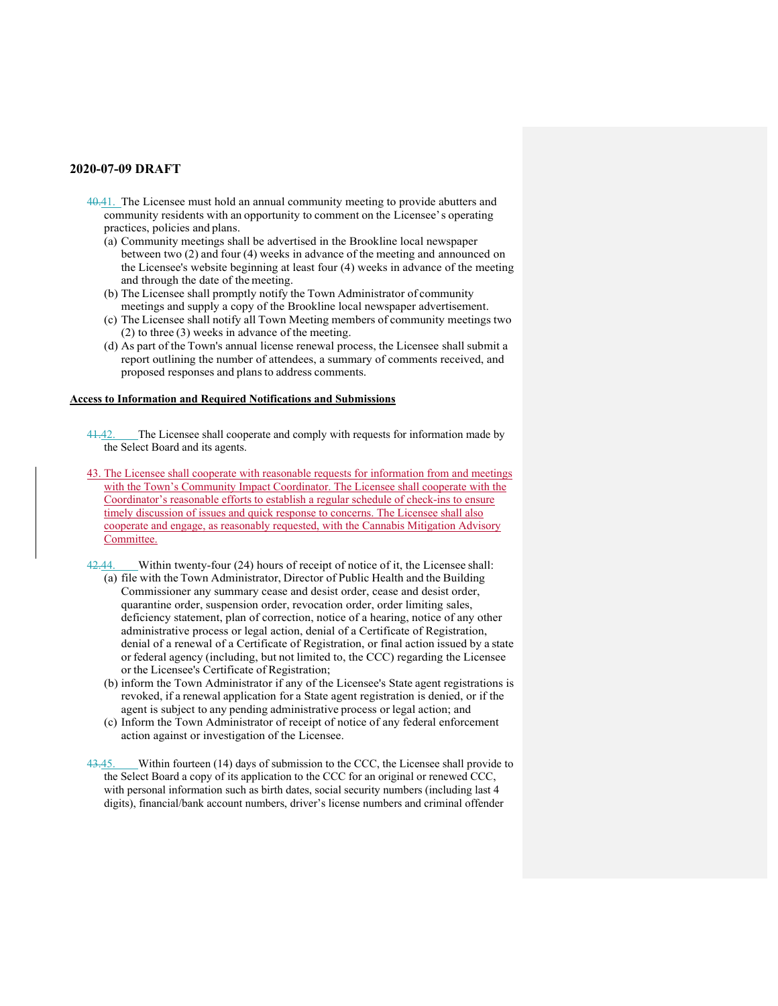- 40.41. The Licensee must hold an annual community meeting to provide abutters and community residents with an opportunity to comment on the Licensee' s operating practices, policies and plans.
	- (a) Community meetings shall be advertised in the Brookline local newspaper between two (2) and four (4) weeks in advance of the meeting and announced on the Licensee's website beginning at least four (4) weeks in advance of the meeting and through the date of the meeting.
	- (b) The Licensee shall promptly notify the Town Administrator of community meetings and supply a copy of the Brookline local newspaper advertisement.
	- (c) The Licensee shall notify all Town Meeting members of community meetings two (2) to three (3) weeks in advance of the meeting.
	- (d) As part of the Town's annual license renewal process, the Licensee shall submit a report outlining the number of attendees, a summary of comments received, and proposed responses and plans to address comments.

### **Access to Information and Required Notifications and Submissions**

- 41.42. The Licensee shall cooperate and comply with requests for information made by the Select Board and its agents.
- 43. The Licensee shall cooperate with reasonable requests for information from and meetings with the Town's Community Impact Coordinator. The Licensee shall cooperate with the Coordinator's reasonable efforts to establish a regular schedule of check-ins to ensure timely discussion of issues and quick response to concerns. The Licensee shall also cooperate and engage, as reasonably requested, with the Cannabis Mitigation Advisory Committee.
- 42.44. Within twenty-four (24) hours of receipt of notice of it, the Licensee shall: (a) file with the Town Administrator, Director of Public Health and the Building Commissioner any summary cease and desist order, cease and desist order, quarantine order, suspension order, revocation order, order limiting sales, deficiency statement, plan of correction, notice of a hearing, notice of any other administrative process or legal action, denial of a Certificate of Registration, denial of a renewal of a Certificate of Registration, or final action issued by a state or federal agency (including, but not limited to, the CCC) regarding the Licensee or the Licensee's Certificate of Registration;
	- (b) inform the Town Administrator if any of the Licensee's State agent registrations is revoked, if a renewal application for a State agent registration is denied, or if the agent is subject to any pending administrative process or legal action; and
	- (c) Inform the Town Administrator of receipt of notice of any federal enforcement action against or investigation of the Licensee.
- 43.45. Within fourteen (14) days of submission to the CCC, the Licensee shall provide to the Select Board a copy of its application to the CCC for an original or renewed CCC, with personal information such as birth dates, social security numbers (including last 4 digits), financial/bank account numbers, driver's license numbers and criminal offender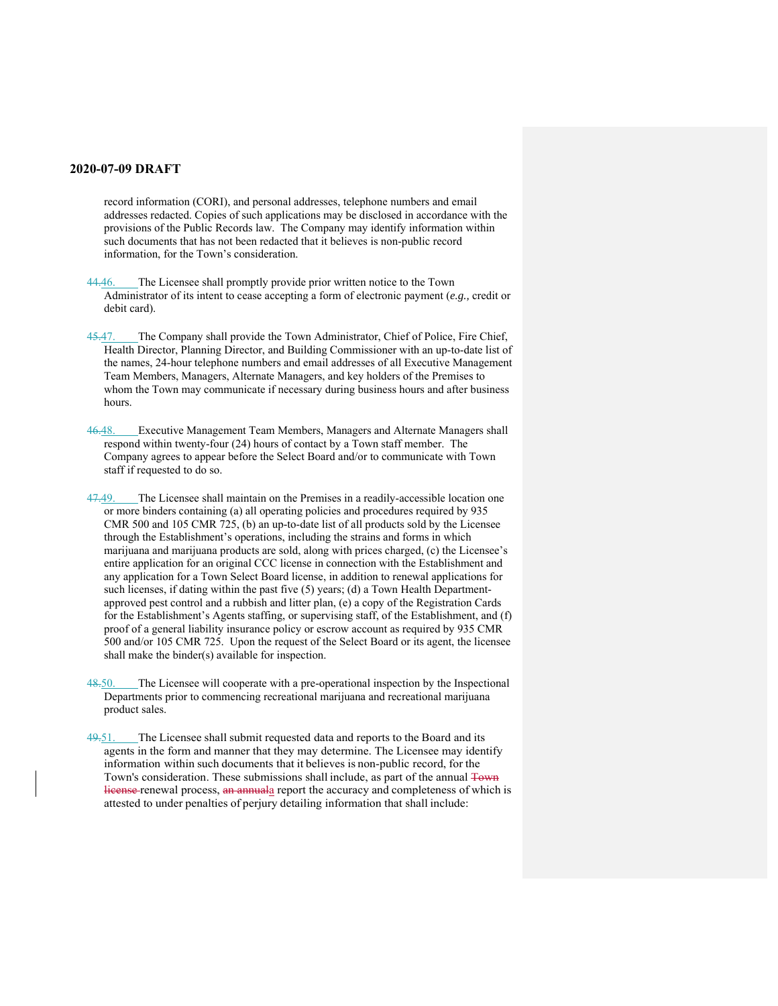record information (CORI), and personal addresses, telephone numbers and email addresses redacted. Copies of such applications may be disclosed in accordance with the provisions of the Public Records law. The Company may identify information within such documents that has not been redacted that it believes is non-public record information, for the Town's consideration.

44.46. The Licensee shall promptly provide prior written notice to the Town Administrator of its intent to cease accepting a form of electronic payment (*e.g.,* credit or debit card).

45.47. The Company shall provide the Town Administrator, Chief of Police, Fire Chief, Health Director, Planning Director, and Building Commissioner with an up-to-date list of the names, 24-hour telephone numbers and email addresses of all Executive Management Team Members, Managers, Alternate Managers, and key holders of the Premises to whom the Town may communicate if necessary during business hours and after business hours.

46.48. Executive Management Team Members, Managers and Alternate Managers shall respond within twenty-four (24) hours of contact by a Town staff member. The Company agrees to appear before the Select Board and/or to communicate with Town staff if requested to do so.

47.49. The Licensee shall maintain on the Premises in a readily-accessible location one or more binders containing (a) all operating policies and procedures required by 935 CMR 500 and 105 CMR 725, (b) an up-to-date list of all products sold by the Licensee through the Establishment's operations, including the strains and forms in which marijuana and marijuana products are sold, along with prices charged, (c) the Licensee's entire application for an original CCC license in connection with the Establishment and any application for a Town Select Board license, in addition to renewal applications for such licenses, if dating within the past five (5) years; (d) a Town Health Departmentapproved pest control and a rubbish and litter plan, (e) a copy of the Registration Cards for the Establishment's Agents staffing, or supervising staff, of the Establishment, and (f) proof of a general liability insurance policy or escrow account as required by 935 CMR 500 and/or 105 CMR 725. Upon the request of the Select Board or its agent, the licensee shall make the binder(s) available for inspection.

The Licensee will cooperate with a pre-operational inspection by the Inspectional Departments prior to commencing recreational marijuana and recreational marijuana product sales.

49.51. The Licensee shall submit requested data and reports to the Board and its agents in the form and manner that they may determine. The Licensee may identify information within such documents that it believes is non-public record, for the Town's consideration. These submissions shall include, as part of the annual Town license renewal process, an annuala report the accuracy and completeness of which is attested to under penalties of perjury detailing information that shall include: